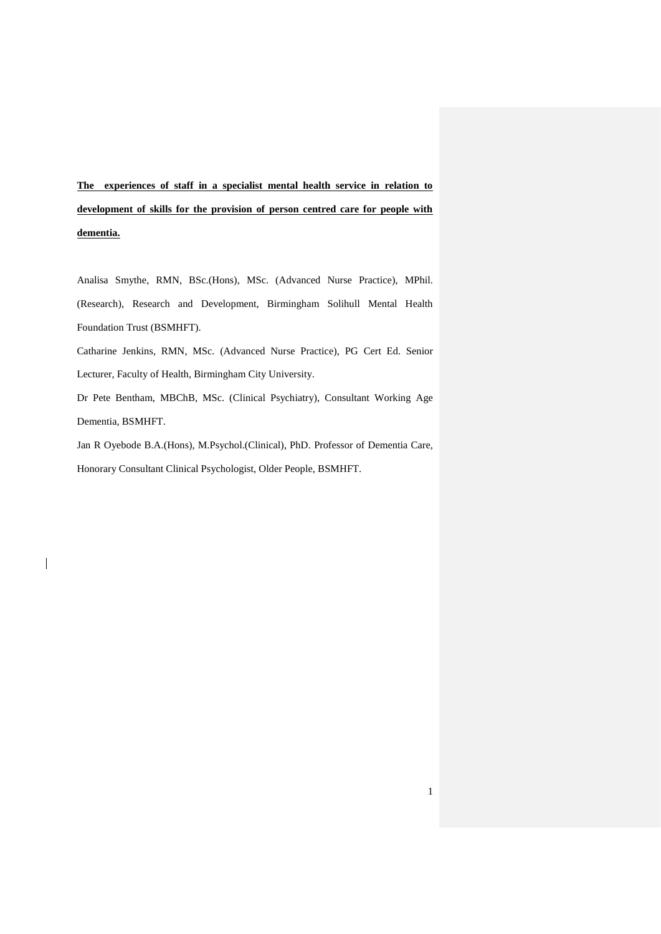**The experiences of staff in a specialist mental health service in relation to development of skills for the provision of person centred care for people with dementia.**

Analisa Smythe, RMN, BSc.(Hons), MSc. (Advanced Nurse Practice), MPhil. (Research), Research and Development, Birmingham Solihull Mental Health Foundation Trust (BSMHFT).

Catharine Jenkins, RMN, MSc. (Advanced Nurse Practice), PG Cert Ed. Senior Lecturer, Faculty of Health, Birmingham City University.

Dr Pete Bentham, MBChB, MSc. (Clinical Psychiatry), Consultant Working Age Dementia, BSMHFT.

Jan R Oyebode B.A.(Hons), M.Psychol.(Clinical), PhD. Professor of Dementia Care, Honorary Consultant Clinical Psychologist, Older People, BSMHFT.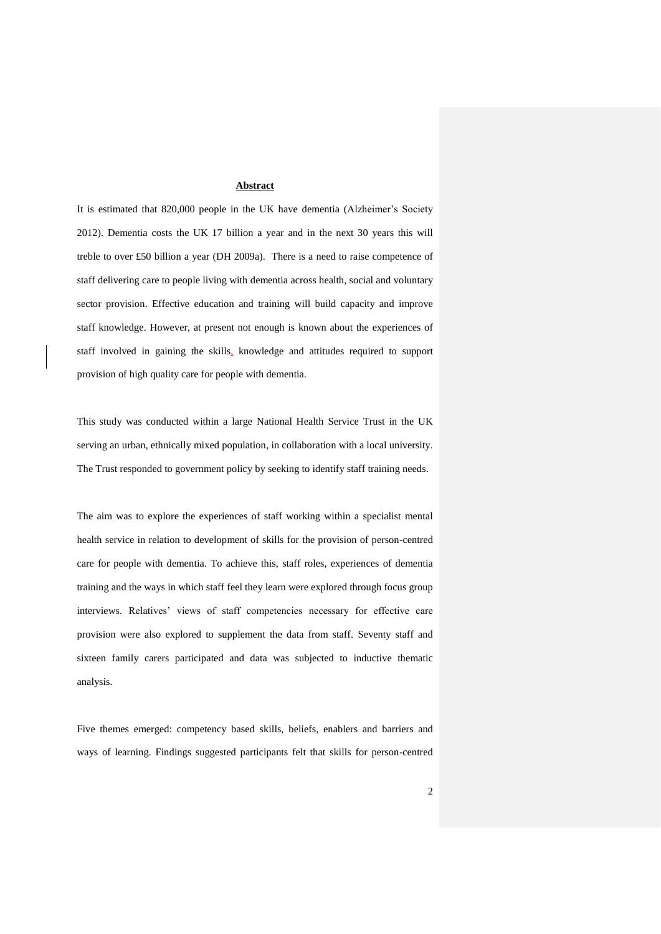#### **Abstract**

It is estimated that 820,000 people in the UK have dementia (Alzheimer's Society 2012). Dementia costs the UK 17 billion a year and in the next 30 years this will treble to over £50 billion a year (DH 2009a). There is a need to raise competence of staff delivering care to people living with dementia across health, social and voluntary sector provision. Effective education and training will build capacity and improve staff knowledge. However, at present not enough is known about the experiences of staff involved in gaining the skills, knowledge and attitudes required to support provision of high quality care for people with dementia.

This study was conducted within a large National Health Service Trust in the UK serving an urban, ethnically mixed population, in collaboration with a local university. The Trust responded to government policy by seeking to identify staff training needs.

The aim was to explore the experiences of staff working within a specialist mental health service in relation to development of skills for the provision of person-centred care for people with dementia. To achieve this, staff roles, experiences of dementia training and the ways in which staff feel they learn were explored through focus group interviews. Relatives' views of staff competencies necessary for effective care provision were also explored to supplement the data from staff. Seventy staff and sixteen family carers participated and data was subjected to inductive thematic analysis.

Five themes emerged: competency based skills, beliefs, enablers and barriers and ways of learning. Findings suggested participants felt that skills for person-centred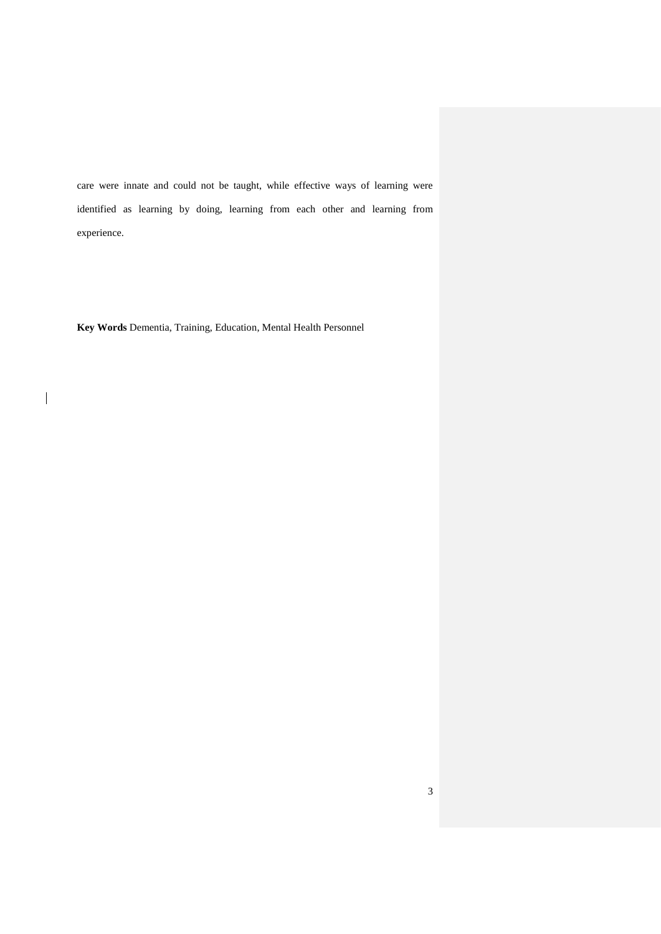care were innate and could not be taught, while effective ways of learning were identified as learning by doing, learning from each other and learning from experience.

**Key Words** Dementia, Training, Education, Mental Health Personnel

 $\overline{\mathbf{I}}$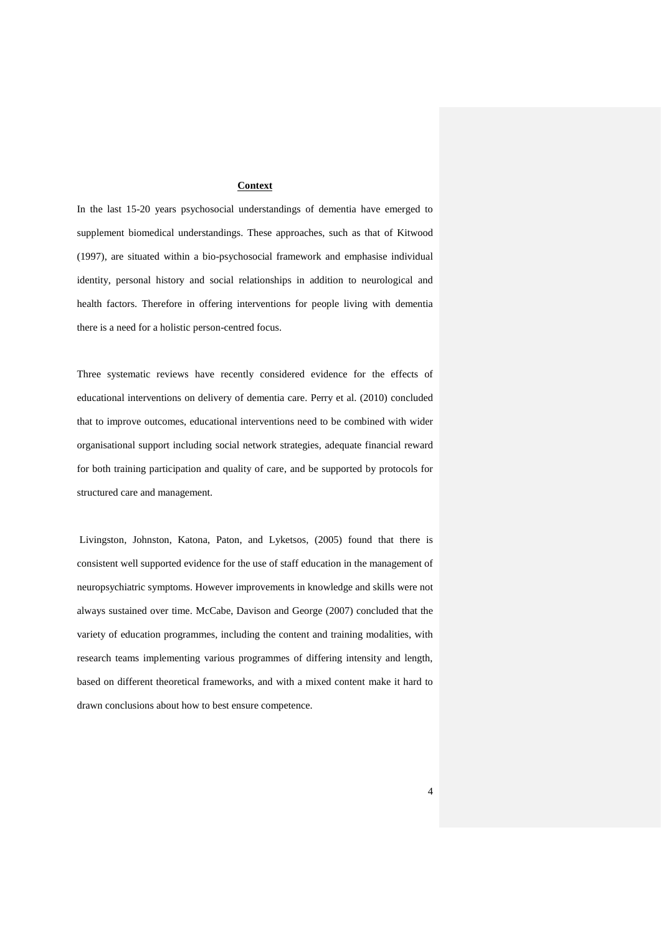#### **Context**

In the last 15-20 years psychosocial understandings of dementia have emerged to supplement biomedical understandings. These approaches, such as that of Kitwood (1997), are situated within a bio-psychosocial framework and emphasise individual identity, personal history and social relationships in addition to neurological and health factors. Therefore in offering interventions for people living with dementia there is a need for a holistic person-centred focus.

Three systematic reviews have recently considered evidence for the effects of educational interventions on delivery of dementia care. Perry et al. (2010) concluded that to improve outcomes, educational interventions need to be combined with wider organisational support including social network strategies, adequate financial reward for both training participation and quality of care, and be supported by protocols for structured care and management.

Livingston, Johnston, Katona, Paton, and Lyketsos, (2005) found that there is consistent well supported evidence for the use of staff education in the management of neuropsychiatric symptoms. However improvements in knowledge and skills were not always sustained over time. McCabe, Davison and George (2007) concluded that the variety of education programmes, including the content and training modalities, with research teams implementing various programmes of differing intensity and length, based on different theoretical frameworks, and with a mixed content make it hard to drawn conclusions about how to best ensure competence.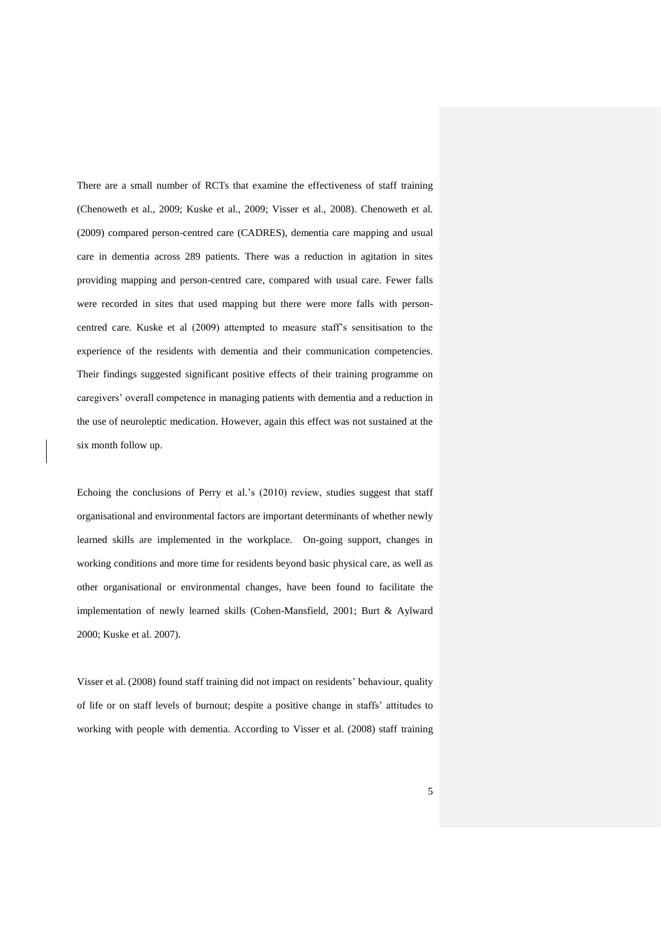There are a small number of RCTs that examine the effectiveness of staff training (Chenoweth et al., 2009; Kuske et al., 2009; Visser et al., 2008). Chenoweth et al. (2009) compared person-centred care (CADRES), dementia care mapping and usual care in dementia across 289 patients. There was a reduction in agitation in sites providing mapping and person-centred care, compared with usual care. Fewer falls were recorded in sites that used mapping but there were more falls with personcentred care. Kuske et al (2009) attempted to measure staff's sensitisation to the experience of the residents with dementia and their communication competencies. Their findings suggested significant positive effects of their training programme on caregivers' overall competence in managing patients with dementia and a reduction in the use of neuroleptic medication. However, again this effect was not sustained at the six month follow up.

Echoing the conclusions of Perry et al.'s (2010) review, studies suggest that staff organisational and environmental factors are important determinants of whether newly learned skills are implemented in the workplace. On-going support, changes in working conditions and more time for residents beyond basic physical care, as well as other organisational or environmental changes, have been found to facilitate the implementation of newly learned skills (Cohen-Mansfield, 2001; Burt & Aylward 2000; Kuske et al. 2007).

Visser et al. (2008) found staff training did not impact on residents' behaviour, quality of life or on staff levels of burnout; despite a positive change in staffs' attitudes to working with people with dementia. According to Visser et al. (2008) staff training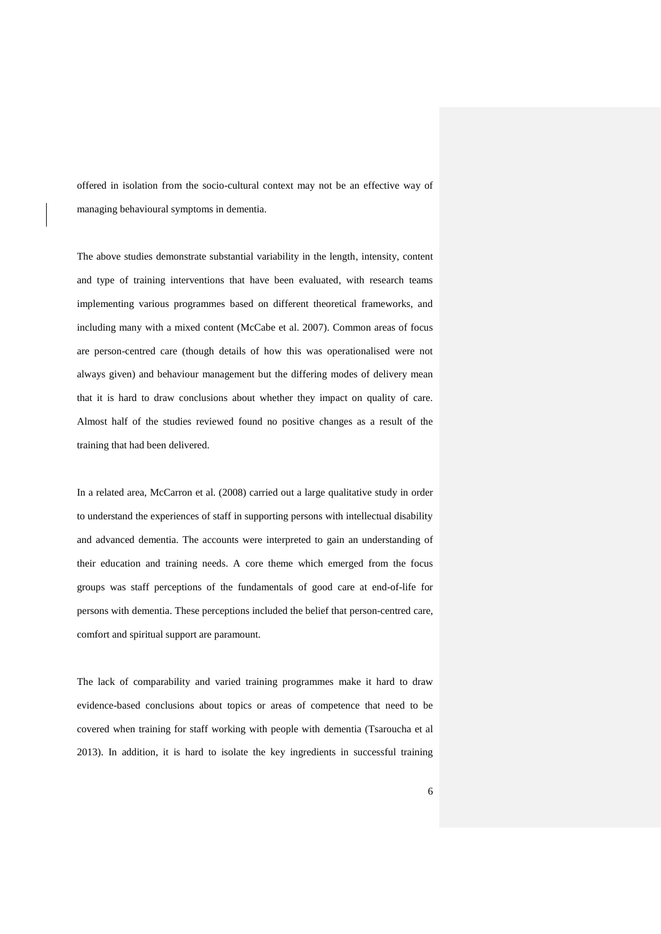offered in isolation from the socio-cultural context may not be an effective way of managing behavioural symptoms in dementia.

The above studies demonstrate substantial variability in the length, intensity, content and type of training interventions that have been evaluated, with research teams implementing various programmes based on different theoretical frameworks, and including many with a mixed content (McCabe et al. 2007). Common areas of focus are person-centred care (though details of how this was operationalised were not always given) and behaviour management but the differing modes of delivery mean that it is hard to draw conclusions about whether they impact on quality of care. Almost half of the studies reviewed found no positive changes as a result of the training that had been delivered.

In a related area, McCarron et al. (2008) carried out a large qualitative study in order to understand the experiences of staff in supporting persons with intellectual disability and advanced dementia. The accounts were interpreted to gain an understanding of their education and training needs. A core theme which emerged from the focus groups was staff perceptions of the fundamentals of good care at end-of-life for persons with dementia. These perceptions included the belief that person-centred care, comfort and spiritual support are paramount.

The lack of comparability and varied training programmes make it hard to draw evidence-based conclusions about topics or areas of competence that need to be covered when training for staff working with people with dementia (Tsaroucha et al 2013). In addition, it is hard to isolate the key ingredients in successful training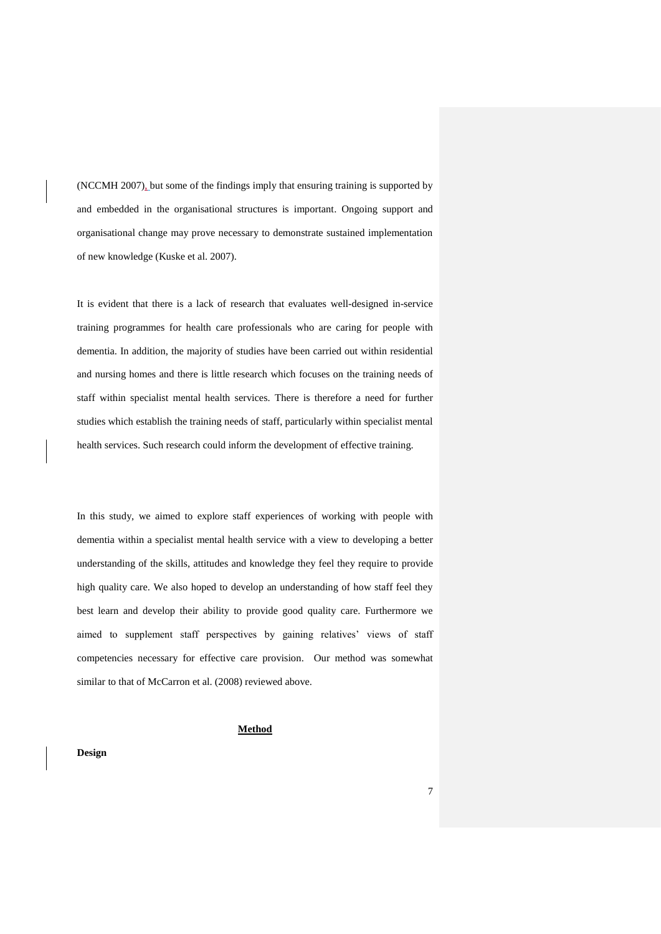(NCCMH 2007), but some of the findings imply that ensuring training is supported by and embedded in the organisational structures is important. Ongoing support and organisational change may prove necessary to demonstrate sustained implementation of new knowledge (Kuske et al. 2007).

It is evident that there is a lack of research that evaluates well-designed in-service training programmes for health care professionals who are caring for people with dementia. In addition, the majority of studies have been carried out within residential and nursing homes and there is little research which focuses on the training needs of staff within specialist mental health services. There is therefore a need for further studies which establish the training needs of staff, particularly within specialist mental health services. Such research could inform the development of effective training.

In this study, we aimed to explore staff experiences of working with people with dementia within a specialist mental health service with a view to developing a better understanding of the skills, attitudes and knowledge they feel they require to provide high quality care. We also hoped to develop an understanding of how staff feel they best learn and develop their ability to provide good quality care. Furthermore we aimed to supplement staff perspectives by gaining relatives' views of staff competencies necessary for effective care provision. Our method was somewhat similar to that of McCarron et al. (2008) reviewed above.

## **Method**

### **Design**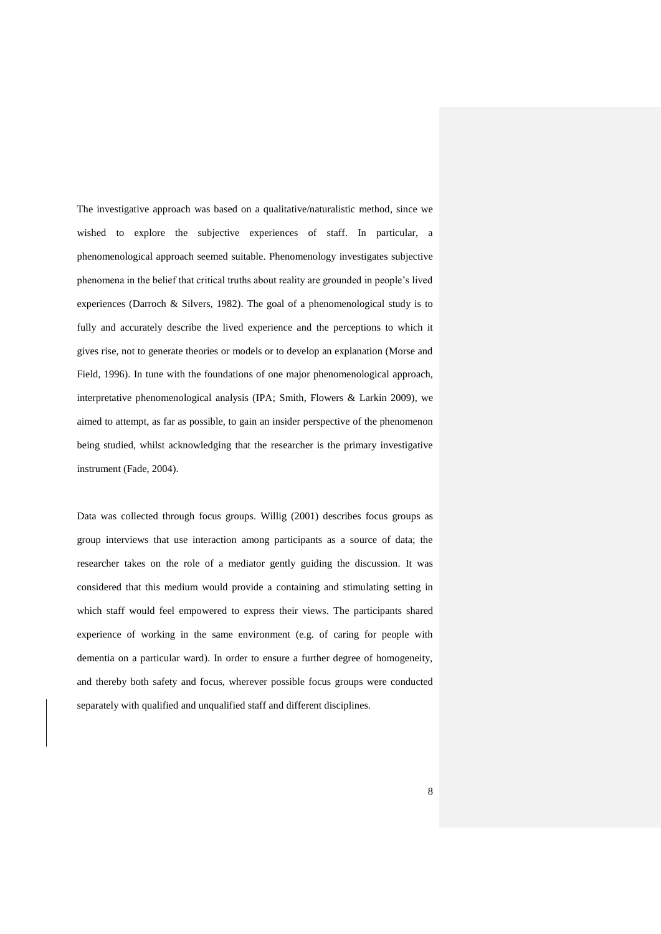The investigative approach was based on a qualitative/naturalistic method, since we wished to explore the subjective experiences of staff. In particular, a phenomenological approach seemed suitable. Phenomenology investigates subjective phenomena in the belief that critical truths about reality are grounded in people's lived experiences (Darroch & Silvers, 1982). The goal of a phenomenological study is to fully and accurately describe the lived experience and the perceptions to which it gives rise, not to generate theories or models or to develop an explanation (Morse and Field, 1996). In tune with the foundations of one major phenomenological approach, interpretative phenomenological analysis (IPA; Smith, Flowers & Larkin 2009), we aimed to attempt, as far as possible, to gain an insider perspective of the phenomenon being studied, whilst acknowledging that the researcher is the primary investigative instrument (Fade, 2004).

Data was collected through focus groups. Willig (2001) describes focus groups as group interviews that use interaction among participants as a source of data; the researcher takes on the role of a mediator gently guiding the discussion. It was considered that this medium would provide a containing and stimulating setting in which staff would feel empowered to express their views. The participants shared experience of working in the same environment (e.g. of caring for people with dementia on a particular ward). In order to ensure a further degree of homogeneity, and thereby both safety and focus, wherever possible focus groups were conducted separately with qualified and unqualified staff and different disciplines.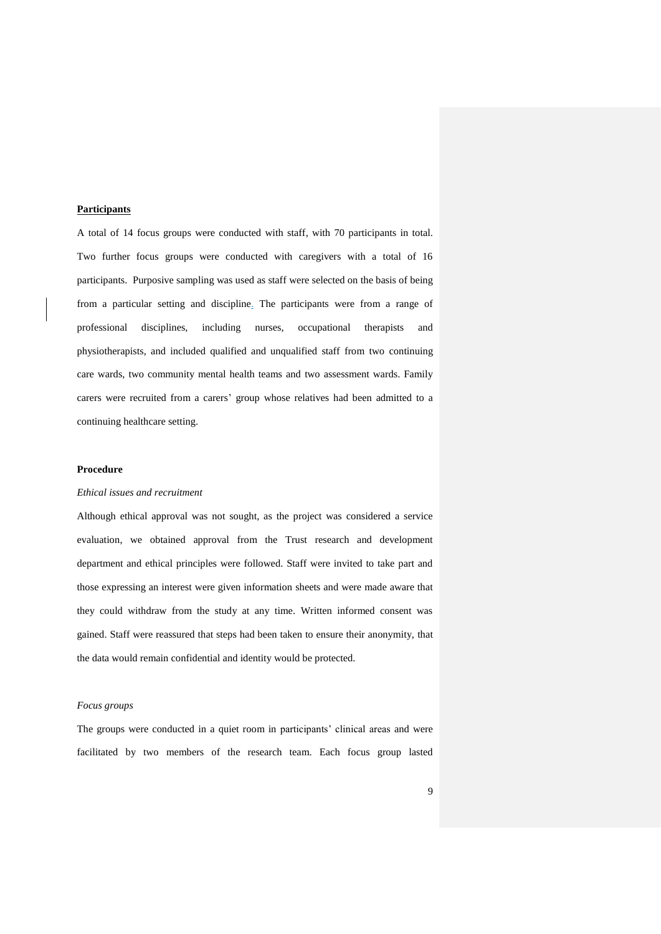## **Participants**

A total of 14 focus groups were conducted with staff, with 70 participants in total. Two further focus groups were conducted with caregivers with a total of 16 participants. Purposive sampling was used as staff were selected on the basis of being from a particular setting and discipline. The participants were from a range of professional disciplines, including nurses, occupational therapists and physiotherapists, and included qualified and unqualified staff from two continuing care wards, two community mental health teams and two assessment wards. Family carers were recruited from a carers' group whose relatives had been admitted to a continuing healthcare setting.

## **Procedure**

# *Ethical issues and recruitment*

Although ethical approval was not sought, as the project was considered a service evaluation, we obtained approval from the Trust research and development department and ethical principles were followed. Staff were invited to take part and those expressing an interest were given information sheets and were made aware that they could withdraw from the study at any time. Written informed consent was gained. Staff were reassured that steps had been taken to ensure their anonymity, that the data would remain confidential and identity would be protected.

#### *Focus groups*

The groups were conducted in a quiet room in participants' clinical areas and were facilitated by two members of the research team. Each focus group lasted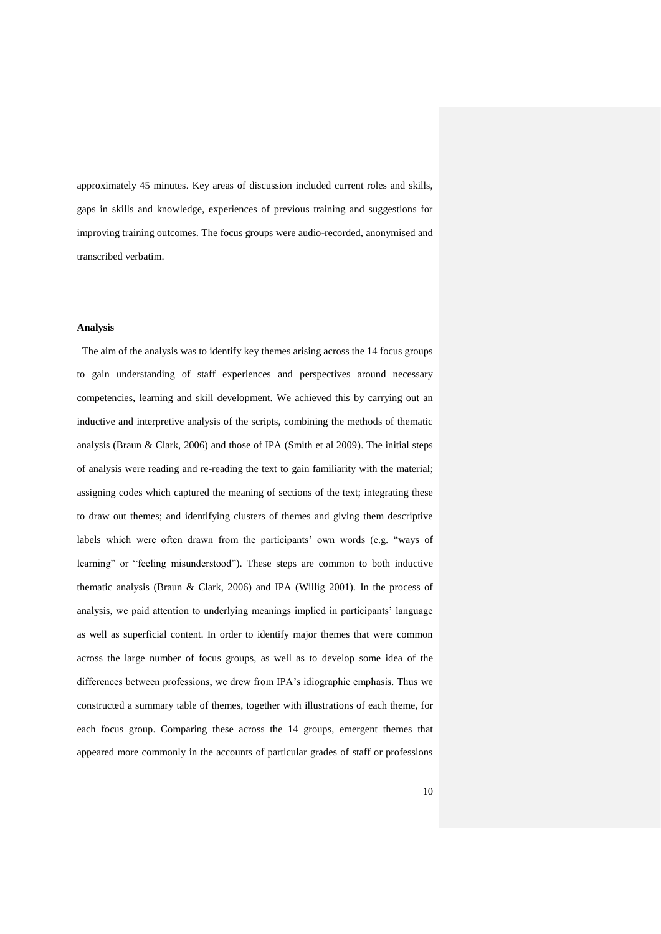approximately 45 minutes. Key areas of discussion included current roles and skills, gaps in skills and knowledge, experiences of previous training and suggestions for improving training outcomes. The focus groups were audio-recorded, anonymised and transcribed verbatim.

## **Analysis**

 The aim of the analysis was to identify key themes arising across the 14 focus groups to gain understanding of staff experiences and perspectives around necessary competencies, learning and skill development. We achieved this by carrying out an inductive and interpretive analysis of the scripts, combining the methods of thematic analysis (Braun & Clark, 2006) and those of IPA (Smith et al 2009). The initial steps of analysis were reading and re-reading the text to gain familiarity with the material; assigning codes which captured the meaning of sections of the text; integrating these to draw out themes; and identifying clusters of themes and giving them descriptive labels which were often drawn from the participants' own words (e.g. "ways of learning" or "feeling misunderstood"). These steps are common to both inductive thematic analysis (Braun & Clark, 2006) and IPA (Willig 2001). In the process of analysis, we paid attention to underlying meanings implied in participants' language as well as superficial content. In order to identify major themes that were common across the large number of focus groups, as well as to develop some idea of the differences between professions, we drew from IPA's idiographic emphasis. Thus we constructed a summary table of themes, together with illustrations of each theme, for each focus group. Comparing these across the 14 groups, emergent themes that appeared more commonly in the accounts of particular grades of staff or professions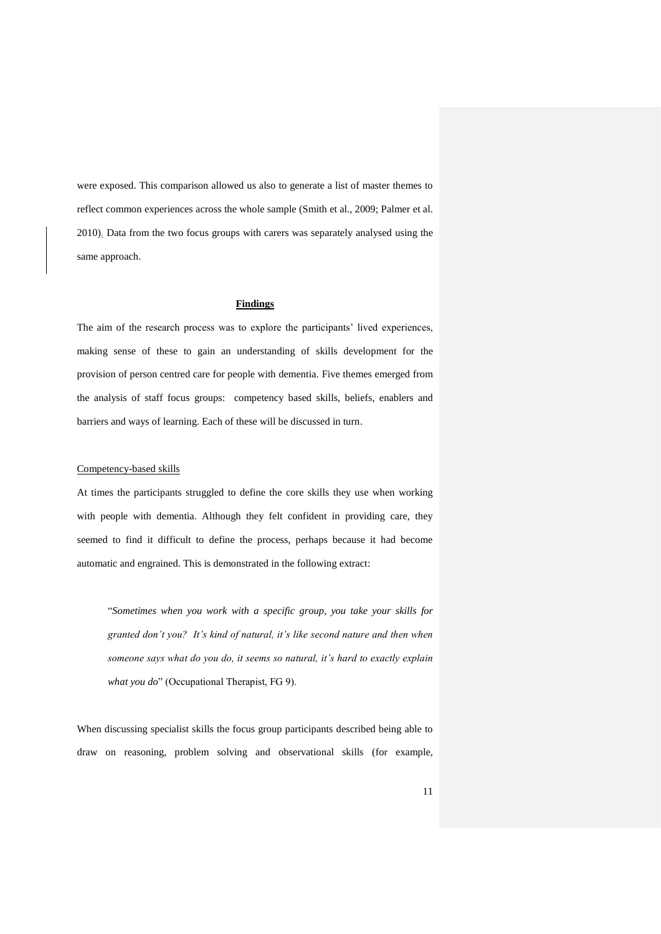were exposed. This comparison allowed us also to generate a list of master themes to reflect common experiences across the whole sample (Smith et al., 2009; Palmer et al. 2010). Data from the two focus groups with carers was separately analysed using the same approach.

### **Findings**

The aim of the research process was to explore the participants' lived experiences, making sense of these to gain an understanding of skills development for the provision of person centred care for people with dementia. Five themes emerged from the analysis of staff focus groups: competency based skills, beliefs, enablers and barriers and ways of learning. Each of these will be discussed in turn.

#### Competency-based skills

At times the participants struggled to define the core skills they use when working with people with dementia. Although they felt confident in providing care, they seemed to find it difficult to define the process, perhaps because it had become automatic and engrained. This is demonstrated in the following extract:

"*Sometimes when you work with a specific group, you take your skills for granted don't you? It's kind of natural, it's like second nature and then when someone says what do you do, it seems so natural, it's hard to exactly explain what you do*" (Occupational Therapist, FG 9).

When discussing specialist skills the focus group participants described being able to draw on reasoning, problem solving and observational skills (for example,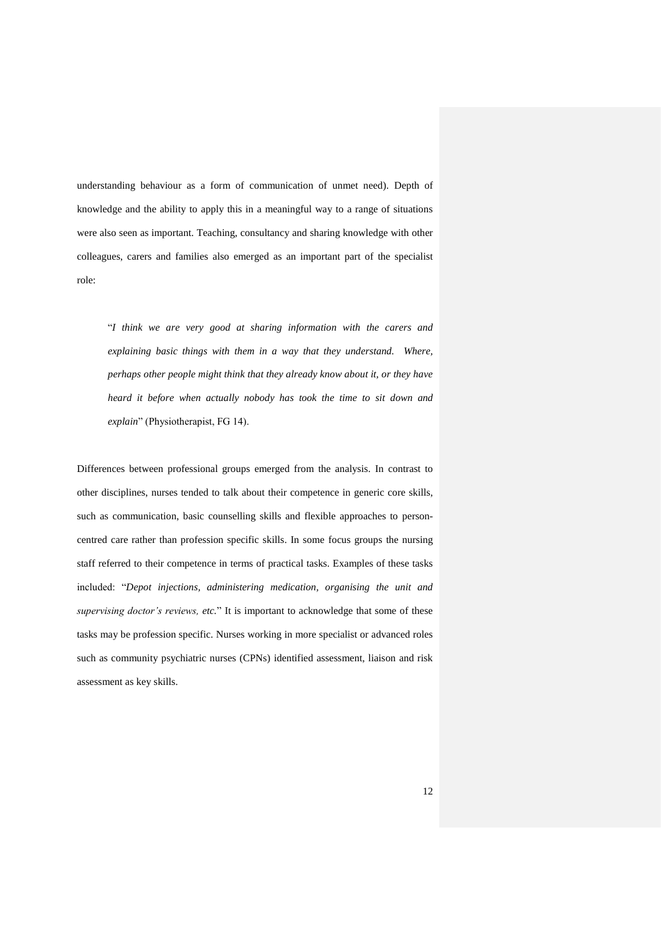understanding behaviour as a form of communication of unmet need). Depth of knowledge and the ability to apply this in a meaningful way to a range of situations were also seen as important. Teaching, consultancy and sharing knowledge with other colleagues, carers and families also emerged as an important part of the specialist role:

"*I think we are very good at sharing information with the carers and explaining basic things with them in a way that they understand. Where, perhaps other people might think that they already know about it, or they have heard it before when actually nobody has took the time to sit down and explain*" (Physiotherapist, FG 14).

Differences between professional groups emerged from the analysis. In contrast to other disciplines, nurses tended to talk about their competence in generic core skills, such as communication, basic counselling skills and flexible approaches to personcentred care rather than profession specific skills. In some focus groups the nursing staff referred to their competence in terms of practical tasks. Examples of these tasks included: "*Depot injections, administering medication, organising the unit and supervising doctor's reviews, etc.*" It is important to acknowledge that some of these tasks may be profession specific. Nurses working in more specialist or advanced roles such as community psychiatric nurses (CPNs) identified assessment, liaison and risk assessment as key skills.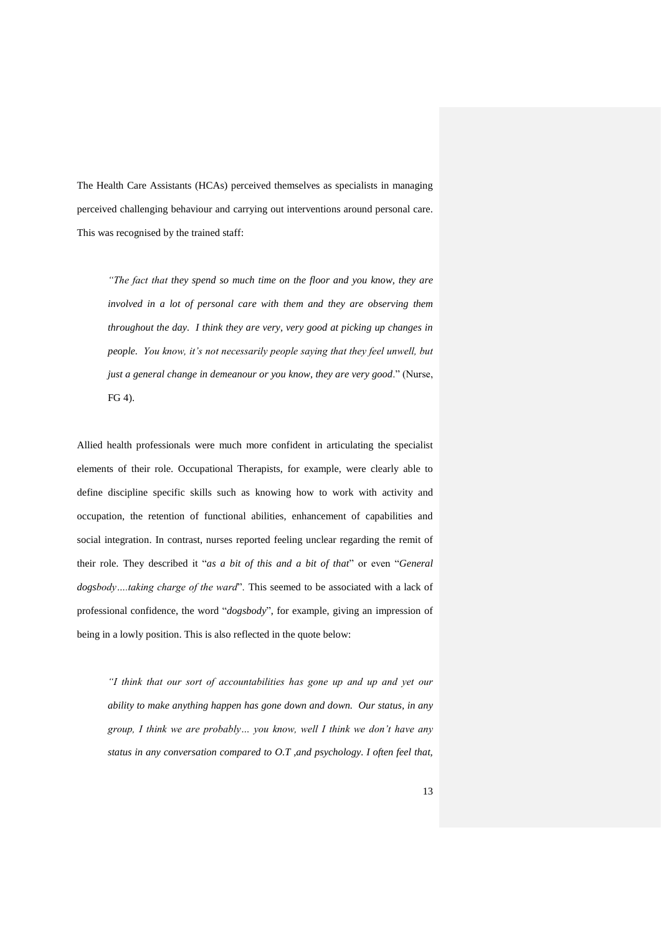The Health Care Assistants (HCAs) perceived themselves as specialists in managing perceived challenging behaviour and carrying out interventions around personal care. This was recognised by the trained staff:

*"The fact that they spend so much time on the floor and you know, they are involved in a lot of personal care with them and they are observing them throughout the day. I think they are very, very good at picking up changes in people. You know, it's not necessarily people saying that they feel unwell, but just a general change in demeanour or you know, they are very good*." (Nurse, FG 4).

Allied health professionals were much more confident in articulating the specialist elements of their role. Occupational Therapists, for example, were clearly able to define discipline specific skills such as knowing how to work with activity and occupation, the retention of functional abilities, enhancement of capabilities and social integration. In contrast, nurses reported feeling unclear regarding the remit of their role. They described it "*as a bit of this and a bit of that*" or even "*General dogsbody….taking charge of the ward*". This seemed to be associated with a lack of professional confidence, the word "*dogsbody*", for example, giving an impression of being in a lowly position. This is also reflected in the quote below:

*"I think that our sort of accountabilities has gone up and up and yet our ability to make anything happen has gone down and down. Our status, in any group, I think we are probably… you know, well I think we don't have any status in any conversation compared to O.T ,and psychology. I often feel that,*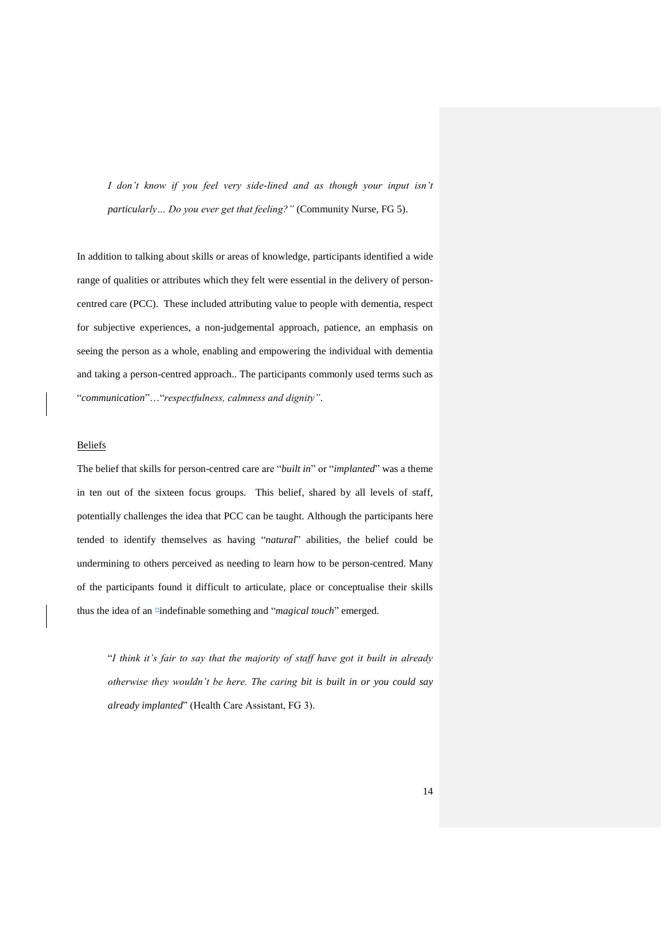*I don't know if you feel very side-lined and as though your input isn't particularly… Do you ever get that feeling?"* (Community Nurse, FG 5).

In addition to talking about skills or areas of knowledge, participants identified a wide range of qualities or attributes which they felt were essential in the delivery of personcentred care (PCC). These included attributing value to people with dementia, respect for subjective experiences, a non-judgemental approach, patience, an emphasis on seeing the person as a whole, enabling and empowering the individual with dementia and taking a person-centred approach.. The participants commonly used terms such as "*communication*"…"*respectfulness, calmness and dignity"*.

# Beliefs

The belief that skills for person-centred care are "*built in*" or "*implanted*" was a theme in ten out of the sixteen focus groups. This belief, shared by all levels of staff, potentially challenges the idea that PCC can be taught. Although the participants here tended to identify themselves as having "*natural*" abilities, the belief could be undermining to others perceived as needing to learn how to be person-centred. Many of the participants found it difficult to articulate, place or conceptualise their skills thus the idea of an "indefinable something and "*magical touch*" emerged.

"*I think it's fair to say that the majority of staff have got it built in already otherwise they wouldn't be here. The caring bit is built in or you could say already implanted*" (Health Care Assistant, FG 3).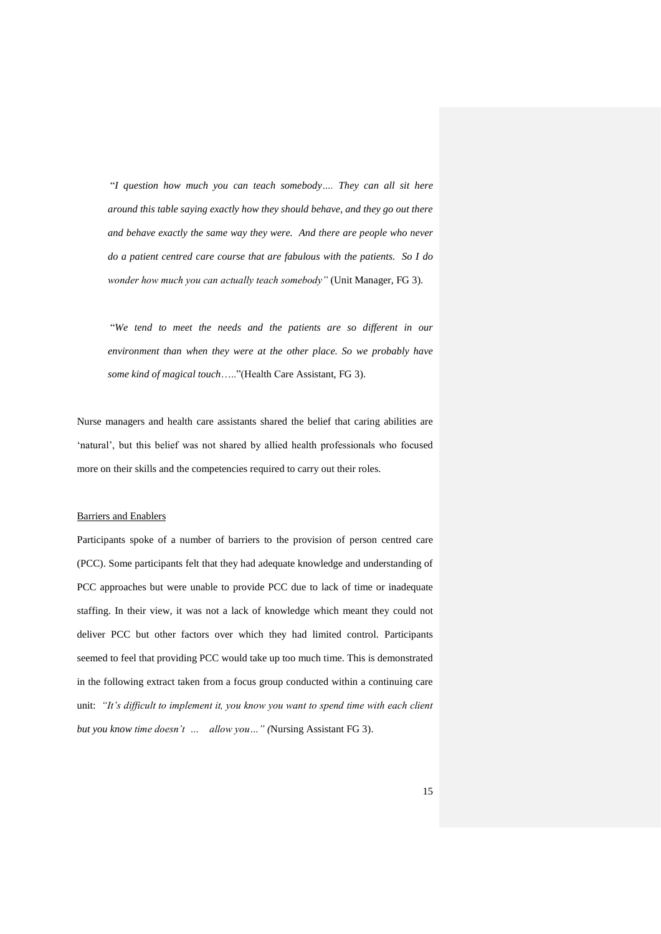"*I question how much you can teach somebody…. They can all sit here around this table saying exactly how they should behave, and they go out there and behave exactly the same way they were. And there are people who never do a patient centred care course that are fabulous with the patients. So I do wonder how much you can actually teach somebody"* (Unit Manager, FG 3).

"*We tend to meet the needs and the patients are so different in our environment than when they were at the other place. So we probably have some kind of magical touch*….."(Health Care Assistant, FG 3).

Nurse managers and health care assistants shared the belief that caring abilities are 'natural', but this belief was not shared by allied health professionals who focused more on their skills and the competencies required to carry out their roles.

### Barriers and Enablers

Participants spoke of a number of barriers to the provision of person centred care (PCC). Some participants felt that they had adequate knowledge and understanding of PCC approaches but were unable to provide PCC due to lack of time or inadequate staffing. In their view, it was not a lack of knowledge which meant they could not deliver PCC but other factors over which they had limited control. Participants seemed to feel that providing PCC would take up too much time. This is demonstrated in the following extract taken from a focus group conducted within a continuing care unit: *"It's difficult to implement it, you know you want to spend time with each client but you know time doesn't … allow you…" (*Nursing Assistant FG 3).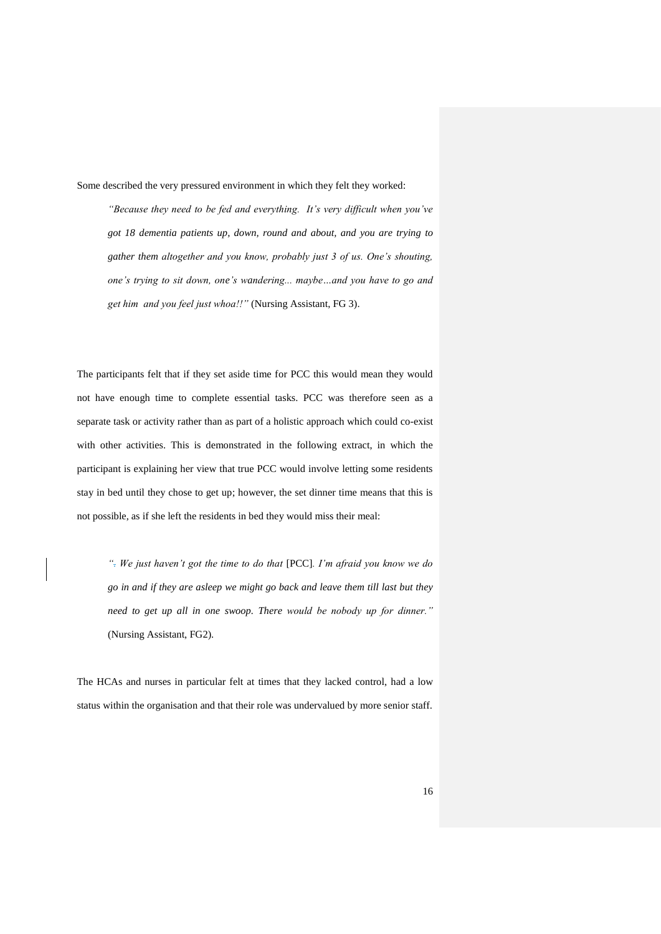Some described the very pressured environment in which they felt they worked:

*"Because they need to be fed and everything. It's very difficult when you've got 18 dementia patients up, down, round and about, and you are trying to gather them altogether and you know, probably just 3 of us. One's shouting, one's trying to sit down, one's wandering... maybe…and you have to go and get him and you feel just whoa!!"* (Nursing Assistant, FG 3).

The participants felt that if they set aside time for PCC this would mean they would not have enough time to complete essential tasks. PCC was therefore seen as a separate task or activity rather than as part of a holistic approach which could co-exist with other activities. This is demonstrated in the following extract, in which the participant is explaining her view that true PCC would involve letting some residents stay in bed until they chose to get up; however, the set dinner time means that this is not possible, as if she left the residents in bed they would miss their meal:

*". We just haven't got the time to do that* [PCC]*. I'm afraid you know we do go in and if they are asleep we might go back and leave them till last but they need to get up all in one swoop. There would be nobody up for dinner."*  (Nursing Assistant, FG2).

The HCAs and nurses in particular felt at times that they lacked control, had a low status within the organisation and that their role was undervalued by more senior staff.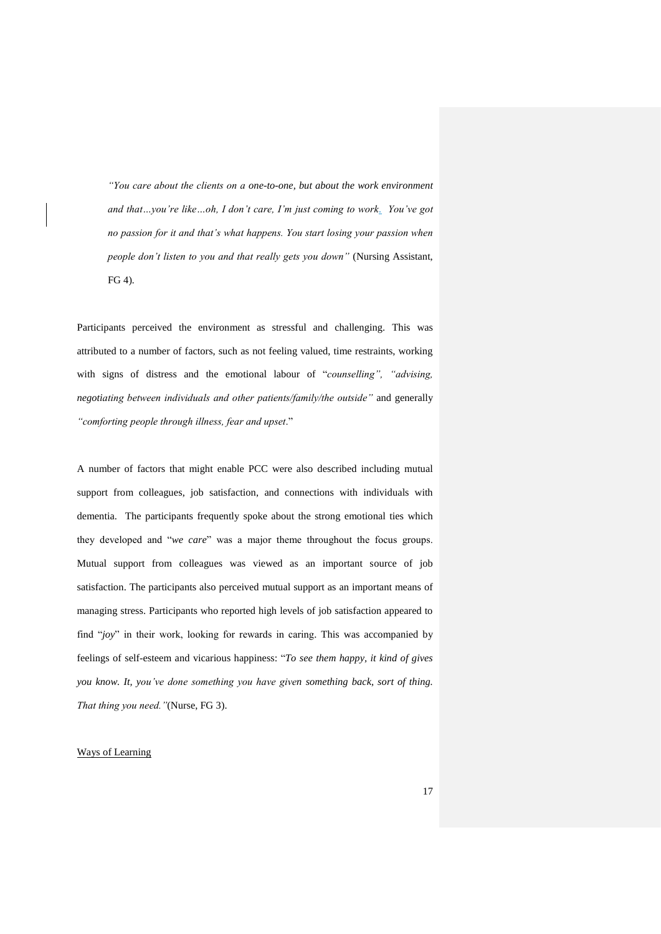*"You care about the clients on a one-to-one, but about the work environment and that…you're like…oh, I don't care, I'm just coming to work. You've got no passion for it and that's what happens. You start losing your passion when people don't listen to you and that really gets you down"* (Nursing Assistant, FG 4)*.*

Participants perceived the environment as stressful and challenging. This was attributed to a number of factors, such as not feeling valued, time restraints, working with signs of distress and the emotional labour of "*counselling", "advising, negotiating between individuals and other patients/family/the outside"* and generally *"comforting people through illness, fear and upset*."

A number of factors that might enable PCC were also described including mutual support from colleagues, job satisfaction, and connections with individuals with dementia. The participants frequently spoke about the strong emotional ties which they developed and "*we care*" was a major theme throughout the focus groups. Mutual support from colleagues was viewed as an important source of job satisfaction. The participants also perceived mutual support as an important means of managing stress. Participants who reported high levels of job satisfaction appeared to find "*joy*" in their work, looking for rewards in caring. This was accompanied by feelings of self-esteem and vicarious happiness: "*To see them happy, it kind of gives you know. It, you've done something you have given something back, sort of thing. That thing you need."*(Nurse, FG 3).

# Ways of Learning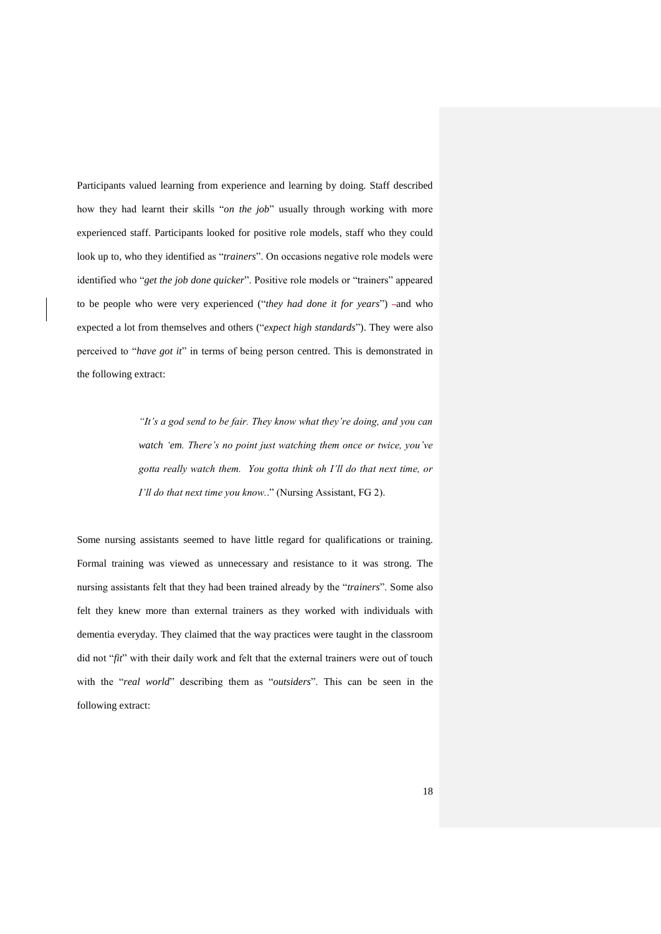Participants valued learning from experience and learning by doing. Staff described how they had learnt their skills "*on the job*" usually through working with more experienced staff. Participants looked for positive role models, staff who they could look up to, who they identified as "*trainers*". On occasions negative role models were identified who "*get the job done quicker*". Positive role models or "trainers" appeared to be people who were very experienced ("they had done it for years") -and who expected a lot from themselves and others ("*expect high standards*"). They were also perceived to "*have got it*" in terms of being person centred. This is demonstrated in the following extract:

> *"It's a god send to be fair. They know what they're doing, and you can watch 'em. There's no point just watching them once or twice, you've gotta really watch them. You gotta think oh I'll do that next time, or I'll do that next time you know.*." (Nursing Assistant, FG 2).

Some nursing assistants seemed to have little regard for qualifications or training. Formal training was viewed as unnecessary and resistance to it was strong. The nursing assistants felt that they had been trained already by the "*trainers*". Some also felt they knew more than external trainers as they worked with individuals with dementia everyday. They claimed that the way practices were taught in the classroom did not "*fit*" with their daily work and felt that the external trainers were out of touch with the "*real world*" describing them as "*outsiders*". This can be seen in the following extract: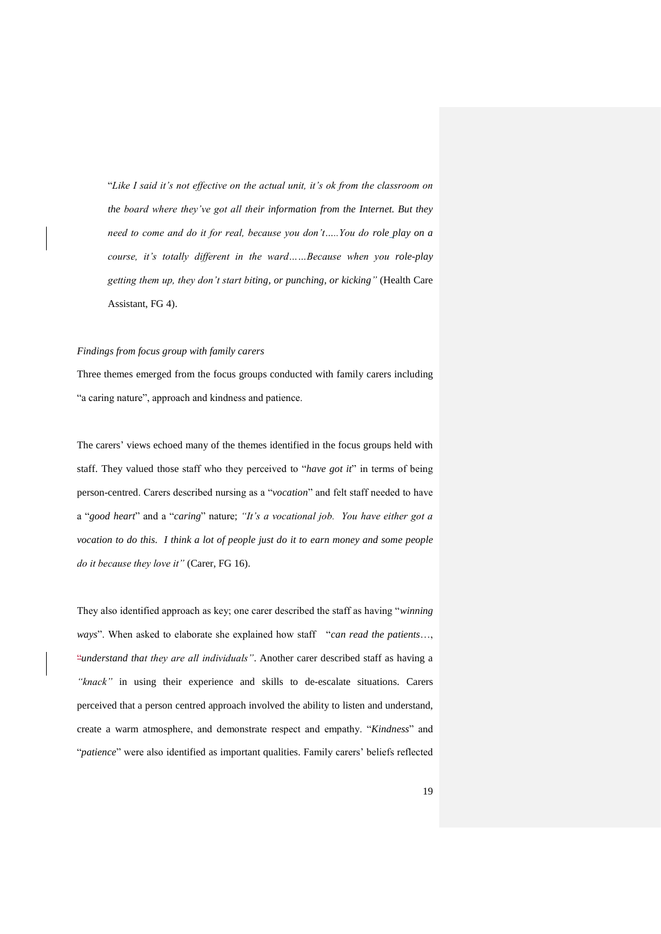"*Like I said it's not effective on the actual unit, it's ok from the classroom on the board where they've got all their information from the Internet. But they need to come and do it for real, because you don't…..You do role play on a course, it's totally different in the ward……Because when you role-play getting them up, they don't start biting, or punching, or kicking"* (Health Care Assistant, FG 4).

#### *Findings from focus group with family carers*

Three themes emerged from the focus groups conducted with family carers including "a caring nature", approach and kindness and patience.

The carers' views echoed many of the themes identified in the focus groups held with staff. They valued those staff who they perceived to "*have got it*" in terms of being person-centred. Carers described nursing as a "*vocation*" and felt staff needed to have a "*good heart*" and a "*caring*" nature; *"It's a vocational job. You have either got a vocation to do this. I think a lot of people just do it to earn money and some people do it because they love it"* (Carer, FG 16).

They also identified approach as key; one carer described the staff as having "*winning ways*". When asked to elaborate she explained how staff "*can read the patients*…, "*understand that they are all individuals"*. Another carer described staff as having a *"knack"* in using their experience and skills to de-escalate situations. Carers perceived that a person centred approach involved the ability to listen and understand, create a warm atmosphere, and demonstrate respect and empathy. "*Kindness*" and "*patience*" were also identified as important qualities. Family carers' beliefs reflected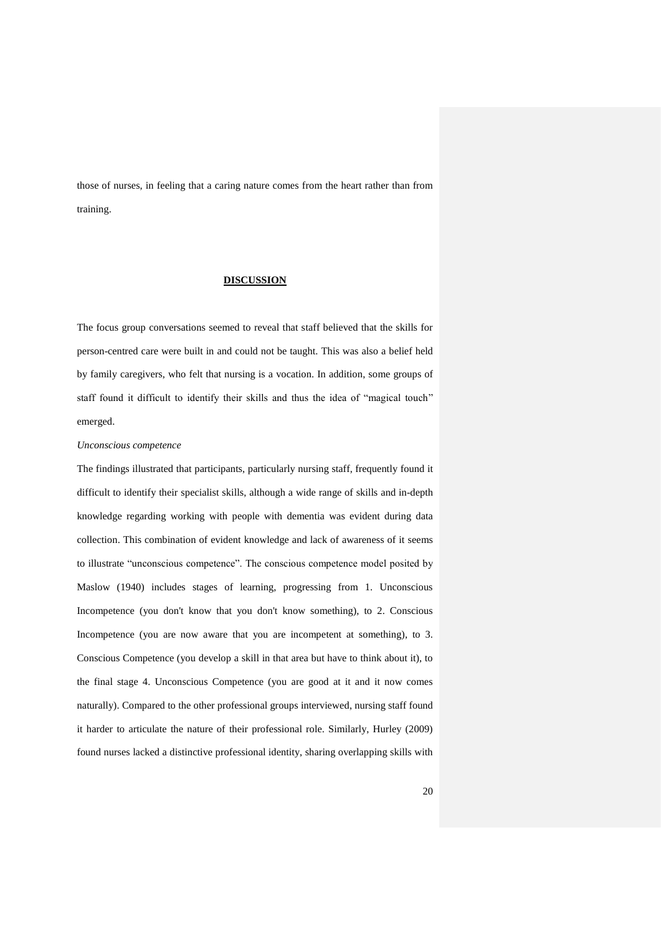those of nurses, in feeling that a caring nature comes from the heart rather than from training.

## **DISCUSSION**

The focus group conversations seemed to reveal that staff believed that the skills for person-centred care were built in and could not be taught. This was also a belief held by family caregivers, who felt that nursing is a vocation. In addition, some groups of staff found it difficult to identify their skills and thus the idea of "magical touch" emerged.

### *Unconscious competence*

The findings illustrated that participants, particularly nursing staff, frequently found it difficult to identify their specialist skills, although a wide range of skills and in-depth knowledge regarding working with people with dementia was evident during data collection. This combination of evident knowledge and lack of awareness of it seems to illustrate "unconscious competence". The conscious competence model posited by Maslow (1940) includes stages of learning, progressing from 1. Unconscious Incompetence (you don't know that you don't know something), to 2. Conscious Incompetence (you are now aware that you are incompetent at something), to 3. Conscious Competence (you develop a skill in that area but have to think about it), to the final stage 4. Unconscious Competence (you are good at it and it now comes naturally). Compared to the other professional groups interviewed, nursing staff found it harder to articulate the nature of their professional role. Similarly, Hurley (2009) found nurses lacked a distinctive professional identity, sharing overlapping skills with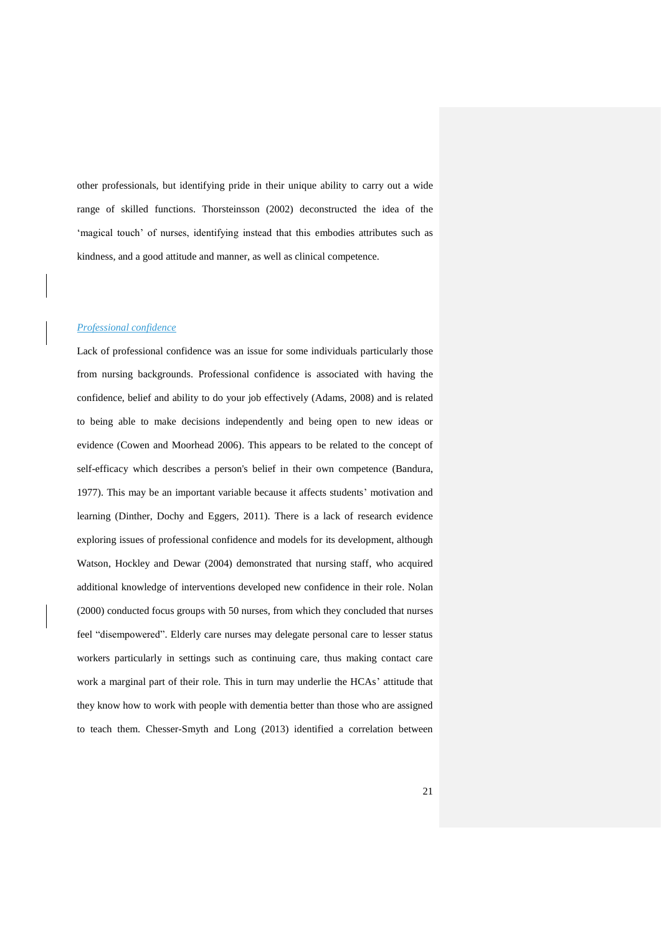other professionals, but identifying pride in their unique ability to carry out a wide range of skilled functions. Thorsteinsson (2002) deconstructed the idea of the 'magical touch' of nurses, identifying instead that this embodies attributes such as kindness, and a good attitude and manner, as well as clinical competence.

## *Professional confidence*

Lack of professional confidence was an issue for some individuals particularly those from nursing backgrounds. Professional confidence is associated with having the confidence, belief and ability to do your job effectively (Adams, 2008) and is related to being able to make decisions independently and being open to new ideas or evidence (Cowen and Moorhead 2006). This appears to be related to the concept of self-efficacy which describes a person's belief in their own competence (Bandura, 1977). This may be an important variable because it affects students' motivation and learning (Dinther, Dochy and Eggers, 2011). There is a lack of research evidence exploring issues of professional confidence and models for its development, although Watson, Hockley and Dewar (2004) demonstrated that nursing staff, who acquired additional knowledge of interventions developed new confidence in their role. Nolan (2000) conducted focus groups with 50 nurses, from which they concluded that nurses feel "disempowered". Elderly care nurses may delegate personal care to lesser status workers particularly in settings such as continuing care, thus making contact care work a marginal part of their role. This in turn may underlie the HCAs' attitude that they know how to work with people with dementia better than those who are assigned to teach them. Chesser-Smyth and Long (2013) identified a correlation between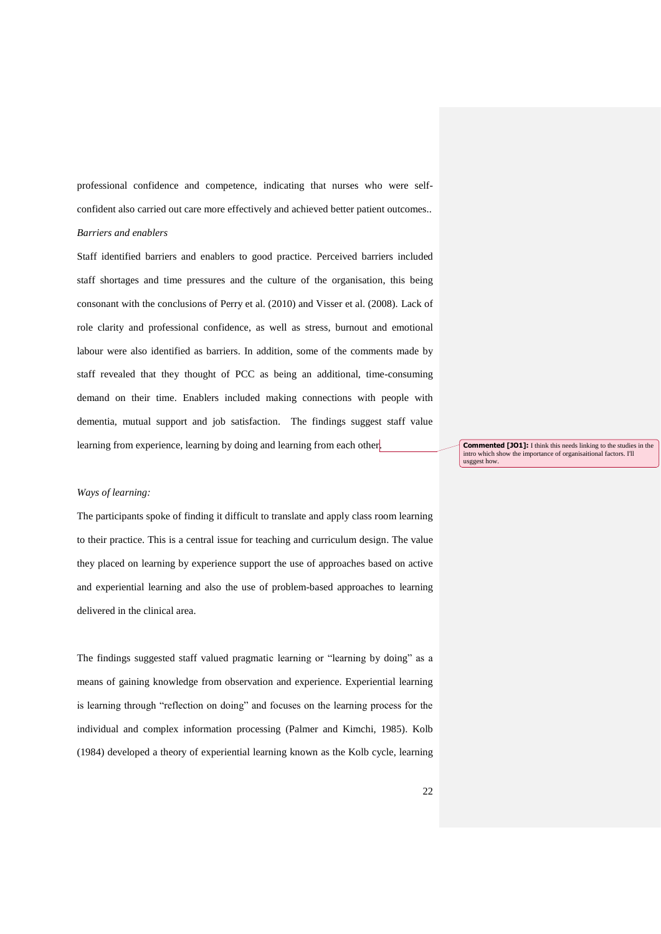professional confidence and competence, indicating that nurses who were selfconfident also carried out care more effectively and achieved better patient outcomes.. *Barriers and enablers*

Staff identified barriers and enablers to good practice. Perceived barriers included staff shortages and time pressures and the culture of the organisation, this being consonant with the conclusions of Perry et al. (2010) and Visser et al. (2008). Lack of role clarity and professional confidence, as well as stress, burnout and emotional labour were also identified as barriers. In addition, some of the comments made by staff revealed that they thought of PCC as being an additional, time-consuming demand on their time. Enablers included making connections with people with dementia, mutual support and job satisfaction. The findings suggest staff value learning from experience, learning by doing and learning from each other.

**Commented [JO1]:** I think this needs linking to the studies in the intro which show the importance of organisational factors. I'll nportance of organisaitional factors. I'll usggest how.

## *Ways of learning:*

The participants spoke of finding it difficult to translate and apply class room learning to their practice. This is a central issue for teaching and curriculum design. The value they placed on learning by experience support the use of approaches based on active and experiential learning and also the use of problem-based approaches to learning delivered in the clinical area.

The findings suggested staff valued pragmatic learning or "learning by doing" as a means of gaining knowledge from observation and experience. Experiential learning is learning through "reflection on doing" and focuses on the learning process for the individual and complex information processing (Palmer and Kimchi, 1985). Kolb (1984) developed a theory of experiential learning known as the Kolb cycle, learning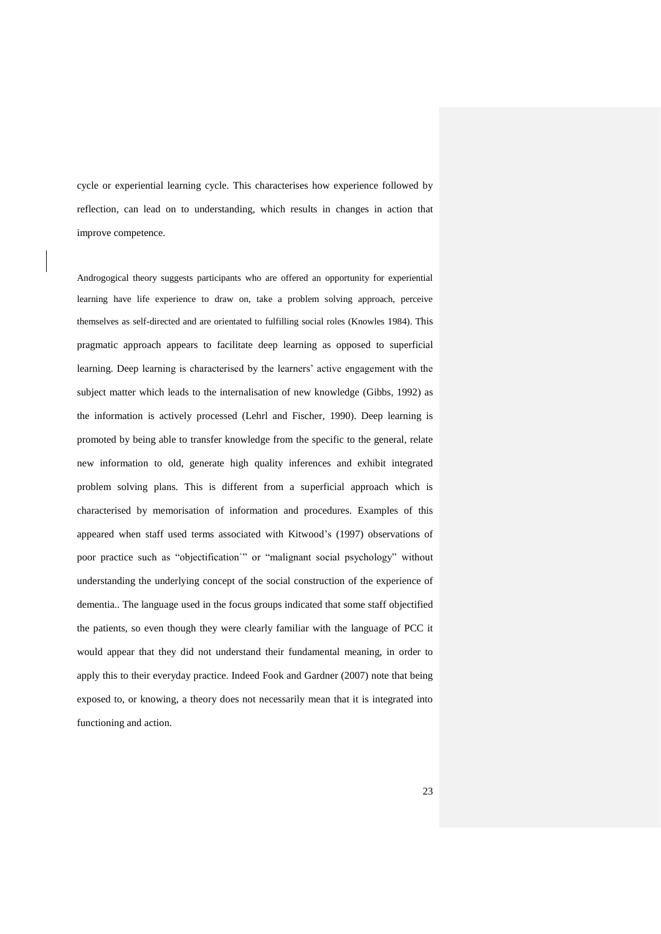cycle or experiential learning cycle. This characterises how experience followed by reflection, can lead on to understanding, which results in changes in action that improve competence.

Androgogical theory suggests participants who are offered an opportunity for experiential learning have life experience to draw on, take a problem solving approach, perceive themselves as self-directed and are orientated to fulfilling social roles (Knowles 1984). This pragmatic approach appears to facilitate deep learning as opposed to superficial learning. Deep learning is characterised by the learners' active engagement with the subject matter which leads to the internalisation of new knowledge (Gibbs, 1992) as the information is actively processed (Lehrl and Fischer, 1990). Deep learning is promoted by being able to transfer knowledge from the specific to the general, relate new information to old, generate high quality inferences and exhibit integrated problem solving plans. This is different from a superficial approach which is characterised by memorisation of information and procedures. Examples of this appeared when staff used terms associated with Kitwood's (1997) observations of poor practice such as "objectification" or "malignant social psychology" without understanding the underlying concept of the social construction of the experience of dementia.. The language used in the focus groups indicated that some staff objectified the patients, so even though they were clearly familiar with the language of PCC it would appear that they did not understand their fundamental meaning, in order to apply this to their everyday practice. Indeed Fook and Gardner (2007) note that being exposed to, or knowing, a theory does not necessarily mean that it is integrated into functioning and action.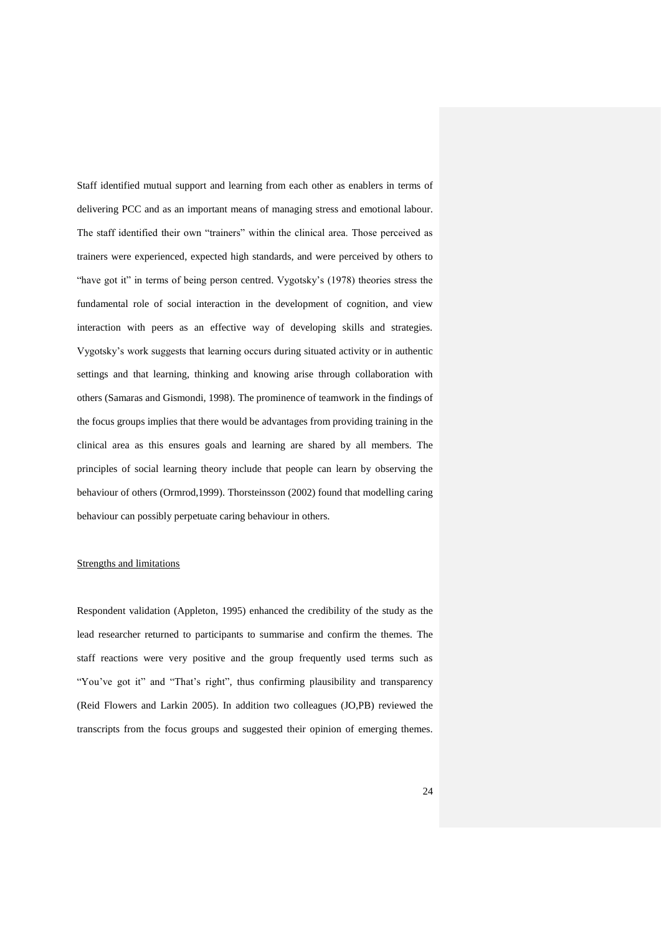Staff identified mutual support and learning from each other as enablers in terms of delivering PCC and as an important means of managing stress and emotional labour. The staff identified their own "trainers" within the clinical area. Those perceived as trainers were experienced, expected high standards, and were perceived by others to "have got it" in terms of being person centred. Vygotsky's (1978) theories stress the fundamental role of social interaction in the development of cognition, and view interaction with peers as an effective way of developing skills and strategies. Vygotsky's work suggests that learning occurs during situated activity or in authentic settings and that learning, thinking and knowing arise through collaboration with others (Samaras and Gismondi, 1998). The prominence of teamwork in the findings of the focus groups implies that there would be advantages from providing training in the clinical area as this ensures goals and learning are shared by all members. The principles of social learning theory include that people can learn by observing the behaviour of others (Ormrod,1999). Thorsteinsson (2002) found that modelling caring behaviour can possibly perpetuate caring behaviour in others.

# Strengths and limitations

Respondent validation (Appleton, 1995) enhanced the credibility of the study as the lead researcher returned to participants to summarise and confirm the themes. The staff reactions were very positive and the group frequently used terms such as "You've got it" and "That's right", thus confirming plausibility and transparency (Reid Flowers and Larkin 2005). In addition two colleagues (JO,PB) reviewed the transcripts from the focus groups and suggested their opinion of emerging themes.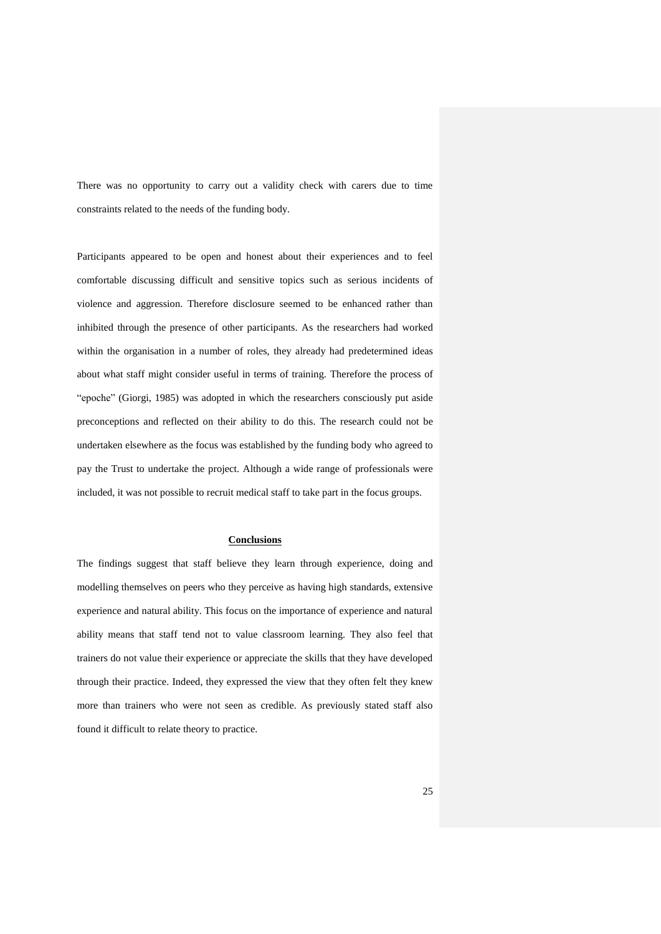There was no opportunity to carry out a validity check with carers due to time constraints related to the needs of the funding body.

Participants appeared to be open and honest about their experiences and to feel comfortable discussing difficult and sensitive topics such as serious incidents of violence and aggression. Therefore disclosure seemed to be enhanced rather than inhibited through the presence of other participants. As the researchers had worked within the organisation in a number of roles, they already had predetermined ideas about what staff might consider useful in terms of training. Therefore the process of "epoche" (Giorgi, 1985) was adopted in which the researchers consciously put aside preconceptions and reflected on their ability to do this. The research could not be undertaken elsewhere as the focus was established by the funding body who agreed to pay the Trust to undertake the project. Although a wide range of professionals were included, it was not possible to recruit medical staff to take part in the focus groups.

### **Conclusions**

The findings suggest that staff believe they learn through experience, doing and modelling themselves on peers who they perceive as having high standards, extensive experience and natural ability. This focus on the importance of experience and natural ability means that staff tend not to value classroom learning. They also feel that trainers do not value their experience or appreciate the skills that they have developed through their practice. Indeed, they expressed the view that they often felt they knew more than trainers who were not seen as credible. As previously stated staff also found it difficult to relate theory to practice.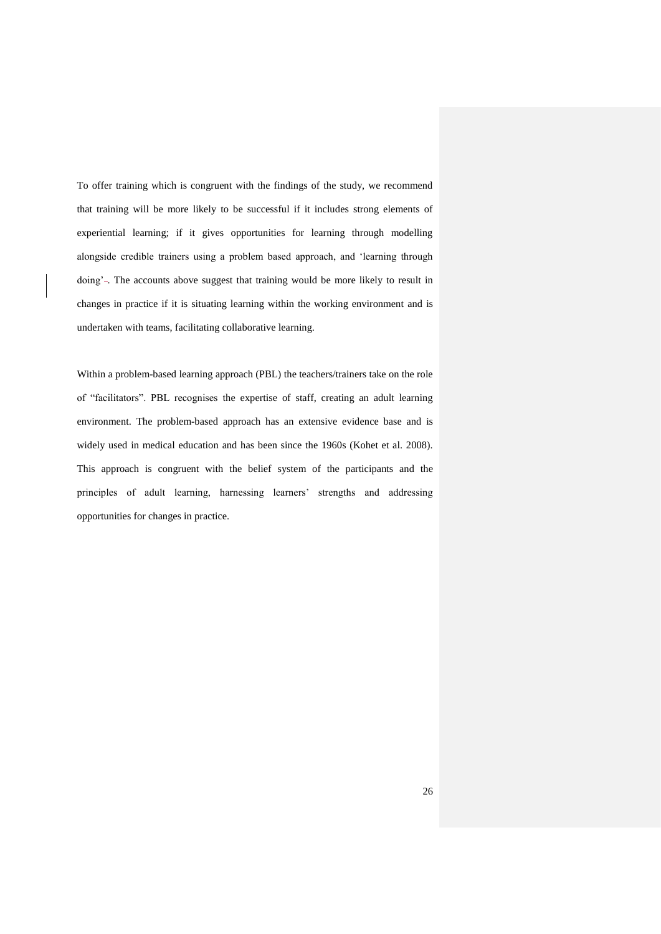To offer training which is congruent with the findings of the study, we recommend that training will be more likely to be successful if it includes strong elements of experiential learning; if it gives opportunities for learning through modelling alongside credible trainers using a problem based approach, and 'learning through doing'-. The accounts above suggest that training would be more likely to result in changes in practice if it is situating learning within the working environment and is undertaken with teams, facilitating collaborative learning.

Within a problem-based learning approach (PBL) the teachers/trainers take on the role of "facilitators". PBL recognises the expertise of staff, creating an adult learning environment. The problem-based approach has an extensive evidence base and is widely used in medical education and has been since the 1960s (Kohet et al. 2008). This approach is congruent with the belief system of the participants and the principles of adult learning, harnessing learners' strengths and addressing opportunities for changes in practice.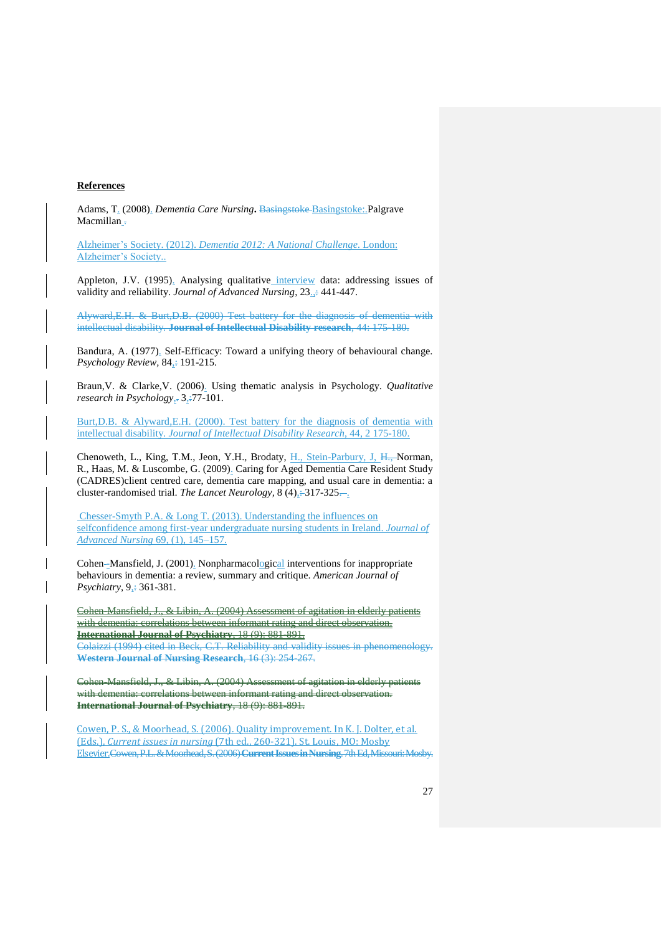### **References**

Adams, T. (2008). *Dementia Care Nursing***.** Basingstoke Basingstoke:.Palgrave Macmillan -

Alzheimer's Society. (2012). *Dementia 2012: A National Challenge.* London: Alzheimer's Society..

Appleton, J.V. (1995). Analysing qualitative interview data: addressing issues of validity and reliability. *Journal of Advanced Nursing*, 23.,: 441-447.

Alyward,E.H. & Burt,D.B. (2000) Test battery for the diagnosis of dementia with intellectual disability. **Journal of Intellectual Disability research**, 44: 175-180.

Bandura, A. (1977). Self-Efficacy: Toward a unifying theory of behavioural change. *Psychology Review,* 84 $\div$  191-215.

Braun,V. & Clarke,V. (2006). Using thematic analysis in Psychology. *Qualitative research in Psychology*, 3, -77-101.

Burt,D.B. & Alyward,E.H. (2000). Test battery for the diagnosis of dementia with intellectual disability. *Journal of Intellectual Disability Research*, 44, 2 175-180.

Chenoweth, L., King, T.M., Jeon, Y.H., Brodaty, H., Stein-Parbury, J, H., Norman, R., Haas, M. & Luscombe, G. (2009). Caring for Aged Dementia Care Resident Study (CADRES)client centred care, dementia care mapping, and usual care in dementia: a cluster-randomised trial. *The Lancet Neurology*,  $8(4)$ ,  $-317-325-$ .

Chesser-Smyth P.A. & Long T. (2013). Understanding the influences on selfconfidence among first-year undergraduate nursing students in Ireland. *Journal of Advanced Nursing* 69, (1), 145–157.

Cohen--Mansfield, J. (2001). Nonpharmacological interventions for inappropriate behaviours in dementia: a review, summary and critique. *American Journal of Psychiatry*,  $9\div 361-381$ .

Cohen-Mansfield, J., & Libin, A. (2004) Assessment of agitation in elderly patients with dementia: correlations between informant rating and direct observation. **International Journal of Psychiatry**, 18 (9): 881-891. Colaizzi (1994) cited in Beck, C.T. Reliability and validity issues in phenomenology. **Western Journal of Nursing Research**, 16 (3): 254-267.

Cohen-Mansfield, J., & Libin, A. (2004) Assessment of agitation in elderly patients with dementia: correlations between informant rating and direct observation. **International Journal of Psychiatry**, 18 (9): 881-891.

Cowen, P. S., & Moorhead, S. (2006). Quality improvement. In K. J. Dolter, et al. (Eds.), *Current issues in nursing* (7th ed., 260-321). St. Louis, MO: Mosby Elsevier.Cowen,P.L. &Moorhead,S. (2006) **Current Issues in Nursing**. 7th Ed, Missouri: Mosby.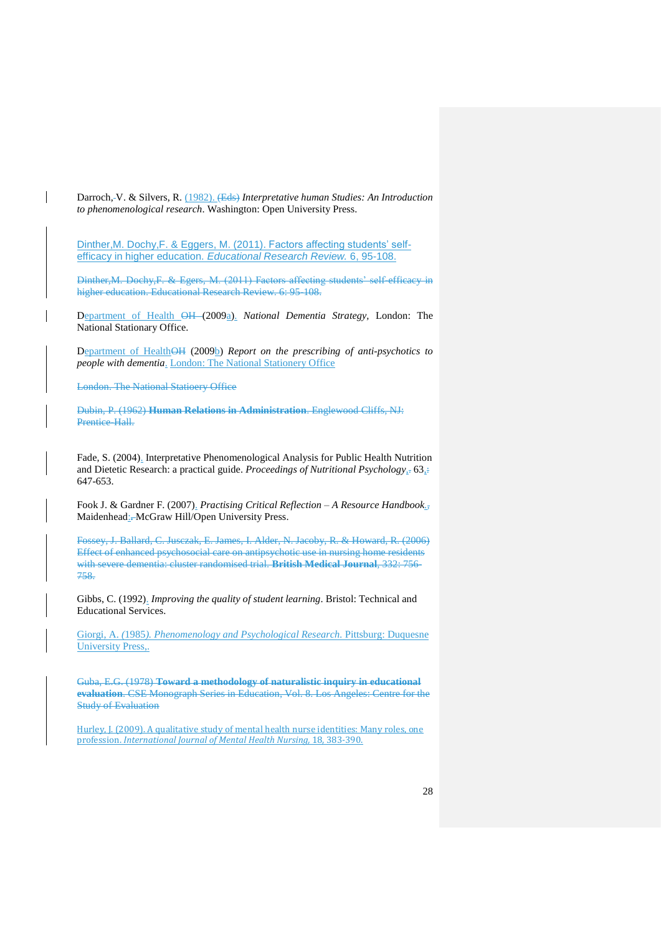Darroch, V. & Silvers, R. (1982). (Eds) *Interpretative human Studies: An Introduction to phenomenological research*. Washington: Open University Press.

[Dinther,M. Dochy,F. & Eggers, M. \(2011\).](http://scholar.google.co.uk/scholar?hl=en&as_sdt=0,5&as_vis=1&q=Dinther,M.+Dochy,F.+%26+Eggers,+M.+(2011)+Factors+affecting+students%E2%80%99+self-efficacy+in+higher+education.+Educational+Research+Review.+6%3A+95-108.) Factors affecting students' selfefficacy in higher education. *[Educational Research Review.](http://scholar.google.co.uk/scholar?hl=en&as_sdt=0,5&as_vis=1&q=Dinther,M.+Dochy,F.+%26+Eggers,+M.+(2011)+Factors+affecting+students%E2%80%99+self-efficacy+in+higher+education.+Educational+Research+Review.+6%3A+95-108.)* 6, 95-108.

Dinther,M. Dochy,F. & Egers, M. (2011) Factors affecting students' self-efficacy in higher education. Educational Research Review. 6: 95-108.

Department of Health OH (2009a). *National Dementia Strategy,* London: The National Stationary Office.

Department of HealthOH (2009b) *Report on the prescribing of anti-psychotics to people with dementia*. London: The National Stationery Office

London. The National Statioery Office

Dubin, P. (1962) **Human Relations in Administration**. Englewood Cliffs, NJ: Prentice-Hall.

Fade, S. (2004). Interpretative Phenomenological Analysis for Public Health Nutrition and Dietetic Research: a practical guide. *Proceedings of Nutritional Psychology<sub>5</sub>* 63<sub>5</sub><sup>2</sup> 647-653.

Fook J. & Gardner F. (2007). *Practising Critical Reflection – A Resource Handbook.,* Maidenhead:**.** McGraw Hill/Open University Press.

Fossey, J. Ballard, C. Jusczak, E. James, I. Alder, N. Jacoby, R. & Howard, R. (2006) Effect of enhanced psychosocial care on antipsychotic use in nursing home residents with severe dementia: cluster randomised trial. **British Medical Journal**, 332: 756- 758.

Gibbs, C. (1992). *Improving the quality of student learning*. Bristol: Technical and Educational Services.

Giorgi, A. *(*1985*). Phenomenology and Psychological Research.* Pittsburg: Duquesne University Press,.

Guba, E.G. (1978) **Toward a methodology of naturalistic inquiry in educational evaluation**. CSE Monograph Series in Education, Vol. 8. Los Angeles: Centre for the Study of Evaluation

Hurley, J. (2009). A qualitative study of mental health nurse identities: Many roles, one profession. *International Journal of Mental Health Nursing,* 18, 383-390.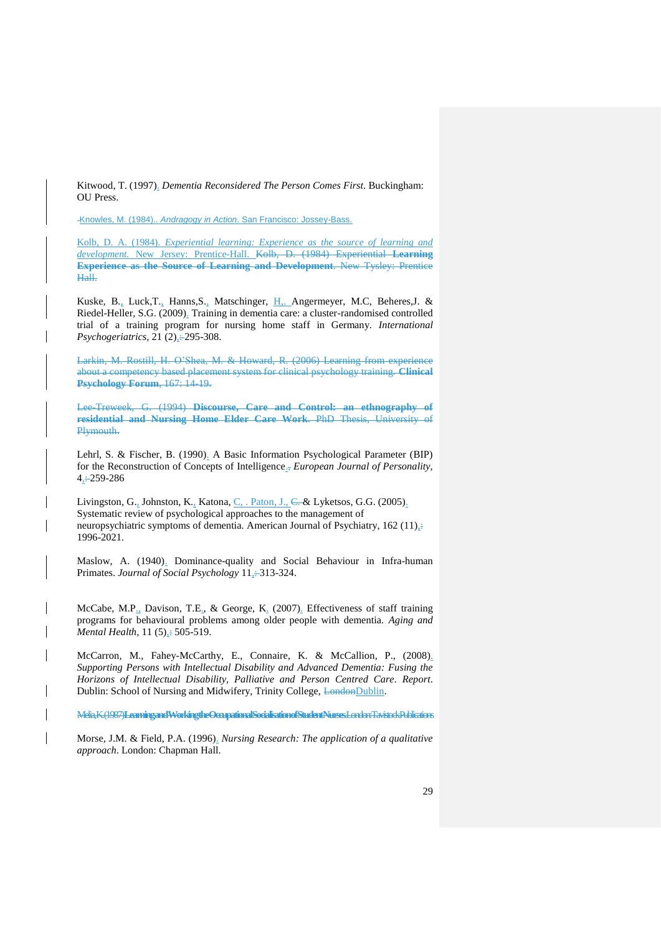Kitwood, T. (1997). *Dementia Reconsidered The Person Comes First*. Buckingham: OU Press.

Knowles, M. (1984).. *Andragogy in Action*. San Francisco: Jossey-Bass.

Kolb, D. A. (1984). *Experiential learning: Experience as the source of learning and development.* New Jersey: Prentice-Hall. Kolb, D. (1984) Experiential **Learning Experience as the Source of Learning and Development**. New Tysley: Prentice Hall.

Kuske, B., Luck,T., Hanns,S., Matschinger, H,. Angermeyer, M.C, Beheres,J. & Riedel-Heller, S.G. (2009). Training in dementia care: a cluster-randomised controlled trial of a training program for nursing home staff in Germany. *International Psychogeriatrics*, 21 (2)<sub> $\pm$ </sub> 295-308.

Larkin, M. Rostill, H. O'Shea, M. & Howard, R. (2006) Learning from experience about a competency based placement system for clinical psychology training. **Clinical Psychology Forum**, 167: 14-19.

Lee-Treweek, G. (1994) **Discourse, Care and Control: an ethnography of residential and Nursing Home Elder Care Work**. PhD Thesis, University of Plymouth.

Lehrl, S. & Fischer, B. (1990). A Basic Information Psychological Parameter (BIP) for the Reconstruction of Concepts of Intelligence., *European Journal of Personality*,  $4. : 259 - 286$ 

Livingston, G., Johnston, K., Katona, C., . Paton, J., C. & Lyketsos, G.G. (2005). Systematic review of psychological approaches to the management of neuropsychiatric symptoms of dementia. American Journal of Psychiatry, 162 (11), $\div$ 1996-2021.

Maslow, A. (1940). Dominance-quality and Social Behaviour in Infra-human Primates. *Journal of Social Psychology* 11,: 313-324.

McCabe, M.P., Davison, T.E., & George, K. (2007). Effectiveness of staff training programs for behavioural problems among older people with dementia. *Aging and Mental Health,* 11 (5)<sub> $\pm$ </sub> 505-519.

McCarron, M., Fahey-McCarthy, E., Connaire, K. & McCallion, P., (2008). *Supporting Persons with Intellectual Disability and Advanced Dementia: Fusing the Horizons of Intellectual Disability, Palliative and Person Centred Care*. *Report*. Dublin: School of Nursing and Midwifery, Trinity College, LondonDublin.

Melia, K. (1987) **Learning and Working the Occupational Socialisation of Student Nurses**. London: Tavistock Publications

Morse, J.M. & Field, P.A. (1996). *Nursing Research: The application of a qualitative approach*. London: Chapman Hall.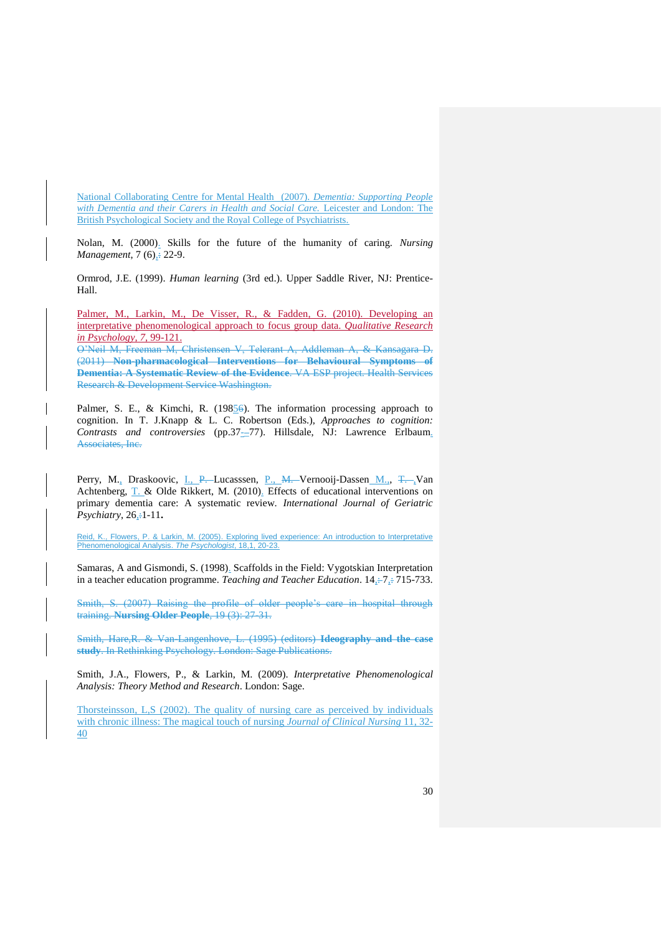National Collaborating Centre for Mental Health (2007). *Dementia: Supporting People with Dementia and their Carers in Health and Social Care.* Leicester and London: The British Psychological Society and the Royal College of Psychiatrists.

Nolan, M. (2000). Skills for the future of the humanity of caring. *Nursing Management*, 7 (6)<sub> $\pm$ </sub> 22-9.

Ormrod, J.E. (1999). *Human learning* (3rd ed.). Upper Saddle River, NJ: Prentice-Hall.

Palmer, M., Larkin, M., De Visser, R., & Fadden, G. (2010). Developing an interpretative phenomenological approach to focus group data. *Qualitative Research in Psychology, 7,* 99-121.

O'Neil M, Freeman M, Christensen V, Telerant A, Addleman A, & Kansagara D. (2011) **Non-pharmacological Interventions for Behavioural Symptoms of Dementia: A Systematic Review of the Evidence**. VA ESP project. Health Services Research & Development Service Washington.

Palmer, S. E., & Kimchi, R. (19856). The information processing approach to cognition. In T. J.Knapp & L. C. Robertson (Eds.), *Approaches to cognition:*  Contrasts and controversies (pp.37-77). Hillsdale, NJ: Lawrence Erlbaum. Associates, Inc.

Perry, M., Draskoovic, I., P. Lucasssen, P., M. Vernooij-Dassen M., T. Van Achtenberg, T. & Olde Rikkert, M. (2010). Effects of educational interventions on primary dementia care: A systematic review. *International Journal of Geriatric Psychiatry*, 26<sub>,</sub> $\pm$ 1-11.

Reid, K., Flowers, P. & Larkin, M. (2005). Exploring lived experience: An introduction to Interpretative Phenomenological Analysis. *The Psychologist*, 18,1, 20-23.

Samaras, A and Gismondi, S. (1998). Scaffolds in the Field: Vygotskian Interpretation in a teacher education programme. *Teaching and Teacher Education*. 14,  $\div$  7,  $\div$  715-733.

Smith, S. (2007) Raising the profile of older people's care in hospital through training. **Nursing Older People**, 19 (3): 27-31.

Smith, Hare,R. & Van-Langenhove, L. (1995) (editors) **Ideography and the case study**. In Rethinking Psychology. London: Sage Publications.

Smith, J.A., Flowers, P., & Larkin, M. (2009). *Interpretative Phenomenological Analysis: Theory Method and Research*. London: Sage.

Thorsteinsson, L,S (2002). The quality of nursing care as perceived by individuals with chronic illness: The magical touch of nursing *Journal of Clinical Nursing* 11, 32- 40